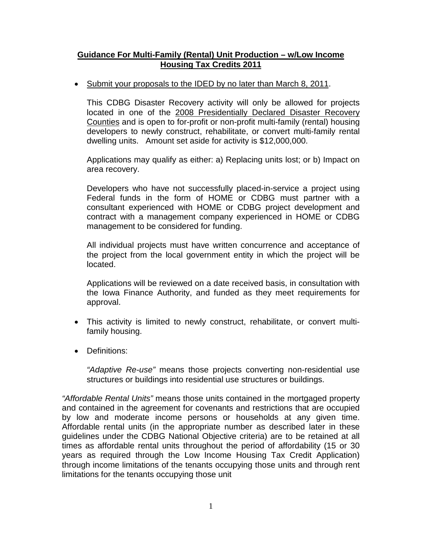## **Guidance For Multi-Family (Rental) Unit Production – w/Low Income Housing Tax Credits 2011**

• Submit your proposals to the IDED by no later than March 8, 2011.

This CDBG Disaster Recovery activity will only be allowed for projects located in one of the 2008 Presidentially Declared Disaster Recovery Counties and is open to for-profit or non-profit multi-family (rental) housing developers to newly construct, rehabilitate, or convert multi-family rental dwelling units. Amount set aside for activity is \$12,000,000.

Applications may qualify as either: a) Replacing units lost; or b) Impact on area recovery.

Developers who have not successfully placed-in-service a project using Federal funds in the form of HOME or CDBG must partner with a consultant experienced with HOME or CDBG project development and contract with a management company experienced in HOME or CDBG management to be considered for funding.

All individual projects must have written concurrence and acceptance of the project from the local government entity in which the project will be located.

Applications will be reviewed on a date received basis, in consultation with the Iowa Finance Authority, and funded as they meet requirements for approval.

- This activity is limited to newly construct, rehabilitate, or convert multifamily housing.
- Definitions:

*"Adaptive Re-use"* means those projects converting non-residential use structures or buildings into residential use structures or buildings.

*"Affordable Rental Units"* means those units contained in the mortgaged property and contained in the agreement for covenants and restrictions that are occupied by low and moderate income persons or households at any given time. Affordable rental units (in the appropriate number as described later in these guidelines under the CDBG National Objective criteria) are to be retained at all times as affordable rental units throughout the period of affordability (15 or 30 years as required through the Low Income Housing Tax Credit Application) through income limitations of the tenants occupying those units and through rent limitations for the tenants occupying those unit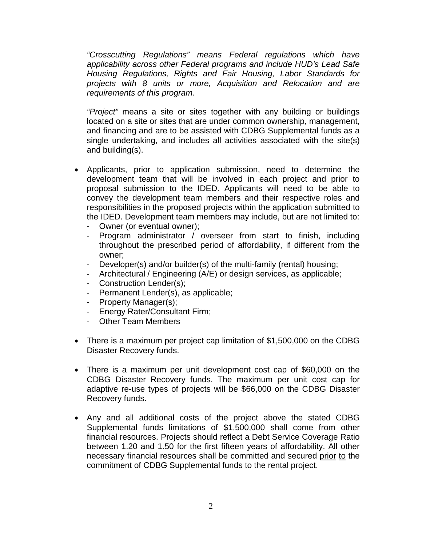*"Crosscutting Regulations" means Federal regulations which have applicability across other Federal programs and include HUD's Lead Safe Housing Regulations, Rights and Fair Housing, Labor Standards for projects with 8 units or more, Acquisition and Relocation and are requirements of this program.*

*"Project"* means a site or sites together with any building or buildings located on a site or sites that are under common ownership, management, and financing and are to be assisted with CDBG Supplemental funds as a single undertaking, and includes all activities associated with the site(s) and building(s).

- Applicants, prior to application submission, need to determine the development team that will be involved in each project and prior to proposal submission to the IDED. Applicants will need to be able to convey the development team members and their respective roles and responsibilities in the proposed projects within the application submitted to the IDED. Development team members may include, but are not limited to:
	- Owner (or eventual owner);
	- Program administrator / overseer from start to finish, including throughout the prescribed period of affordability, if different from the owner;
	- Developer(s) and/or builder(s) of the multi-family (rental) housing;
	- Architectural / Engineering (A/E) or design services, as applicable;
	- Construction Lender(s);
	- Permanent Lender(s), as applicable;
	- Property Manager(s);
	- Energy Rater/Consultant Firm;
	- Other Team Members
- There is a maximum per project cap limitation of \$1,500,000 on the CDBG Disaster Recovery funds.
- There is a maximum per unit development cost cap of \$60,000 on the CDBG Disaster Recovery funds. The maximum per unit cost cap for adaptive re-use types of projects will be \$66,000 on the CDBG Disaster Recovery funds.
- Any and all additional costs of the project above the stated CDBG Supplemental funds limitations of \$1,500,000 shall come from other financial resources. Projects should reflect a Debt Service Coverage Ratio between 1.20 and 1.50 for the first fifteen years of affordability. All other necessary financial resources shall be committed and secured prior to the commitment of CDBG Supplemental funds to the rental project.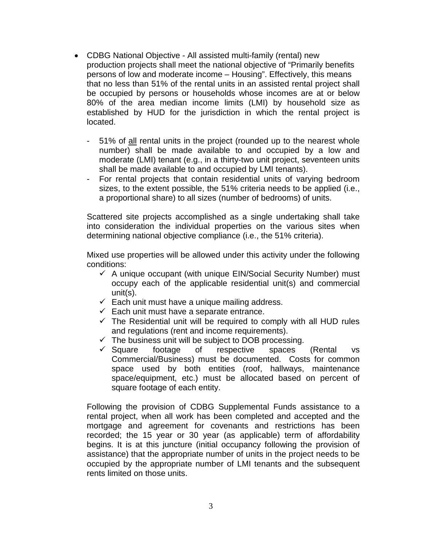- CDBG National Objective All assisted multi-family (rental) new production projects shall meet the national objective of "Primarily benefits persons of low and moderate income – Housing". Effectively, this means that no less than 51% of the rental units in an assisted rental project shall be occupied by persons or households whose incomes are at or below 80% of the area median income limits (LMI) by household size as established by HUD for the jurisdiction in which the rental project is located.
	- 51% of all rental units in the project (rounded up to the nearest whole number) shall be made available to and occupied by a low and moderate (LMI) tenant (e.g., in a thirty-two unit project, seventeen units shall be made available to and occupied by LMI tenants).
	- For rental projects that contain residential units of varying bedroom sizes, to the extent possible, the 51% criteria needs to be applied (i.e., a proportional share) to all sizes (number of bedrooms) of units.

Scattered site projects accomplished as a single undertaking shall take into consideration the individual properties on the various sites when determining national objective compliance (i.e., the 51% criteria).

Mixed use properties will be allowed under this activity under the following conditions:

- $\checkmark$  A unique occupant (with unique EIN/Social Security Number) must occupy each of the applicable residential unit(s) and commercial unit(s).
- $\checkmark$  Each unit must have a unique mailing address.
- $\checkmark$  Each unit must have a separate entrance.
- $\checkmark$  The Residential unit will be required to comply with all HUD rules and regulations (rent and income requirements).
- $\checkmark$  The business unit will be subject to DOB processing.
- $\checkmark$  Square footage of respective spaces (Rental vs Commercial/Business) must be documented. Costs for common space used by both entities (roof, hallways, maintenance space/equipment, etc.) must be allocated based on percent of square footage of each entity.

Following the provision of CDBG Supplemental Funds assistance to a rental project, when all work has been completed and accepted and the mortgage and agreement for covenants and restrictions has been recorded; the 15 year or 30 year (as applicable) term of affordability begins. It is at this juncture (initial occupancy following the provision of assistance) that the appropriate number of units in the project needs to be occupied by the appropriate number of LMI tenants and the subsequent rents limited on those units.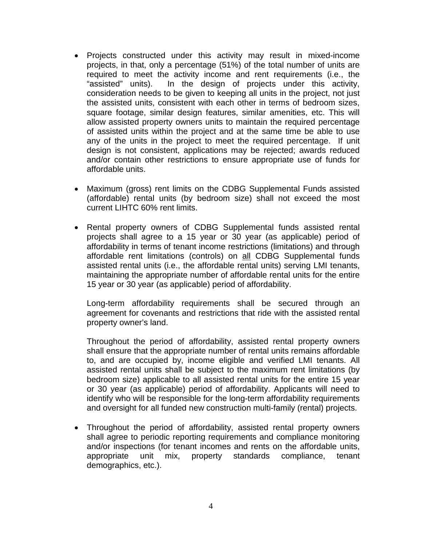- Projects constructed under this activity may result in mixed-income projects, in that, only a percentage (51%) of the total number of units are required to meet the activity income and rent requirements (i.e., the "assisted" units). In the design of projects under this activity, consideration needs to be given to keeping all units in the project, not just the assisted units, consistent with each other in terms of bedroom sizes, square footage, similar design features, similar amenities, etc. This will allow assisted property owners units to maintain the required percentage of assisted units within the project and at the same time be able to use any of the units in the project to meet the required percentage. If unit design is not consistent, applications may be rejected; awards reduced and/or contain other restrictions to ensure appropriate use of funds for affordable units.
- Maximum (gross) rent limits on the CDBG Supplemental Funds assisted (affordable) rental units (by bedroom size) shall not exceed the most current LIHTC 60% rent limits.
- Rental property owners of CDBG Supplemental funds assisted rental projects shall agree to a 15 year or 30 year (as applicable) period of affordability in terms of tenant income restrictions (limitations) and through affordable rent limitations (controls) on all CDBG Supplemental funds assisted rental units (i.e., the affordable rental units) serving LMI tenants, maintaining the appropriate number of affordable rental units for the entire 15 year or 30 year (as applicable) period of affordability.

Long-term affordability requirements shall be secured through an agreement for covenants and restrictions that ride with the assisted rental property owner's land.

Throughout the period of affordability, assisted rental property owners shall ensure that the appropriate number of rental units remains affordable to, and are occupied by, income eligible and verified LMI tenants. All assisted rental units shall be subject to the maximum rent limitations (by bedroom size) applicable to all assisted rental units for the entire 15 year or 30 year (as applicable) period of affordability. Applicants will need to identify who will be responsible for the long-term affordability requirements and oversight for all funded new construction multi-family (rental) projects.

• Throughout the period of affordability, assisted rental property owners shall agree to periodic reporting requirements and compliance monitoring and/or inspections (for tenant incomes and rents on the affordable units, appropriate unit mix, property standards compliance, tenant demographics, etc.).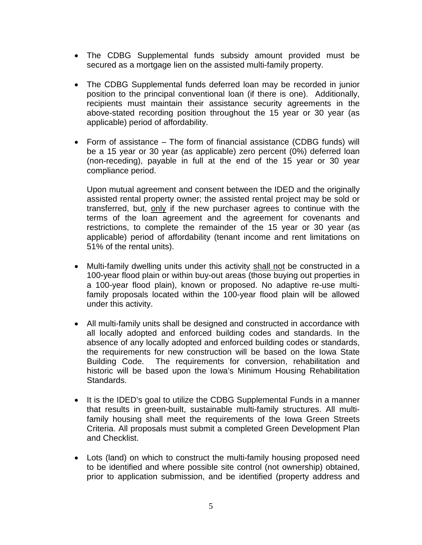- The CDBG Supplemental funds subsidy amount provided must be secured as a mortgage lien on the assisted multi-family property.
- The CDBG Supplemental funds deferred loan may be recorded in junior position to the principal conventional loan (if there is one). Additionally, recipients must maintain their assistance security agreements in the above-stated recording position throughout the 15 year or 30 year (as applicable) period of affordability.
- Form of assistance The form of financial assistance (CDBG funds) will be a 15 year or 30 year (as applicable) zero percent (0%) deferred loan (non-receding), payable in full at the end of the 15 year or 30 year compliance period.

Upon mutual agreement and consent between the IDED and the originally assisted rental property owner; the assisted rental project may be sold or transferred, but, only if the new purchaser agrees to continue with the terms of the loan agreement and the agreement for covenants and restrictions, to complete the remainder of the 15 year or 30 year (as applicable) period of affordability (tenant income and rent limitations on 51% of the rental units).

- Multi-family dwelling units under this activity shall not be constructed in a 100-year flood plain or within buy-out areas (those buying out properties in a 100-year flood plain), known or proposed. No adaptive re-use multifamily proposals located within the 100-year flood plain will be allowed under this activity.
- All multi-family units shall be designed and constructed in accordance with all locally adopted and enforced building codes and standards. In the absence of any locally adopted and enforced building codes or standards, the requirements for new construction will be based on the Iowa State Building Code. The requirements for conversion, rehabilitation and historic will be based upon the Iowa's Minimum Housing Rehabilitation Standards.
- It is the IDED's goal to utilize the CDBG Supplemental Funds in a manner that results in green-built, sustainable multi-family structures. All multifamily housing shall meet the requirements of the Iowa Green Streets Criteria. All proposals must submit a completed Green Development Plan and Checklist.
- Lots (land) on which to construct the multi-family housing proposed need to be identified and where possible site control (not ownership) obtained, prior to application submission, and be identified (property address and